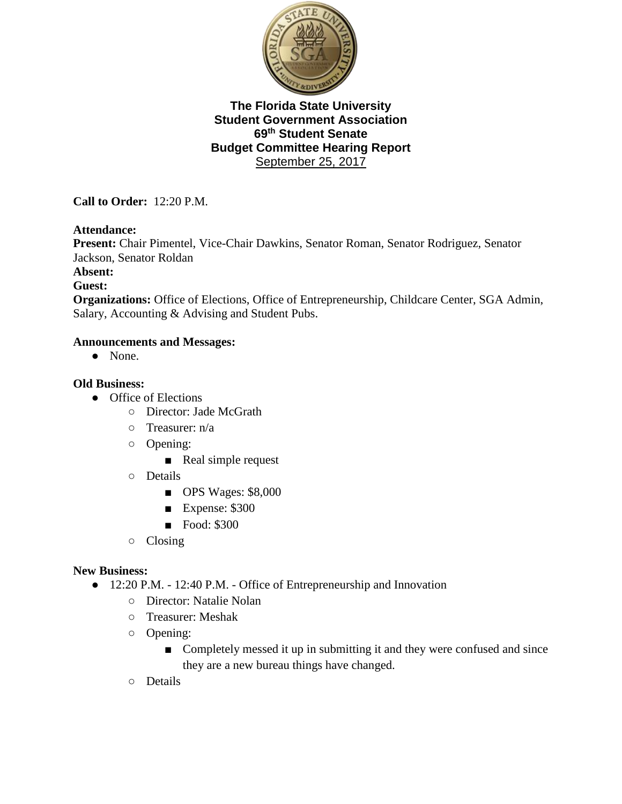

**Call to Order:** 12:20 P.M.

#### **Attendance:**

**Present:** Chair Pimentel, Vice-Chair Dawkins, Senator Roman, Senator Rodriguez, Senator Jackson, Senator Roldan

**Absent:**

#### **Guest:**

**Organizations:** Office of Elections, Office of Entrepreneurship, Childcare Center, SGA Admin, Salary, Accounting & Advising and Student Pubs.

#### **Announcements and Messages:**

● None.

#### **Old Business:**

- Office of Elections
	- Director: Jade McGrath
	- $\circ$  Treasurer: n/a
	- Opening:
		- Real simple request
	- Details
		- OPS Wages: \$8,000
		- Expense: \$300
		- Food: \$300
	- Closing

#### **New Business:**

- 12:20 P.M. 12:40 P.M. Office of Entrepreneurship and Innovation
	- Director: Natalie Nolan
	- Treasurer: Meshak
	- Opening:
		- Completely messed it up in submitting it and they were confused and since they are a new bureau things have changed.
	- Details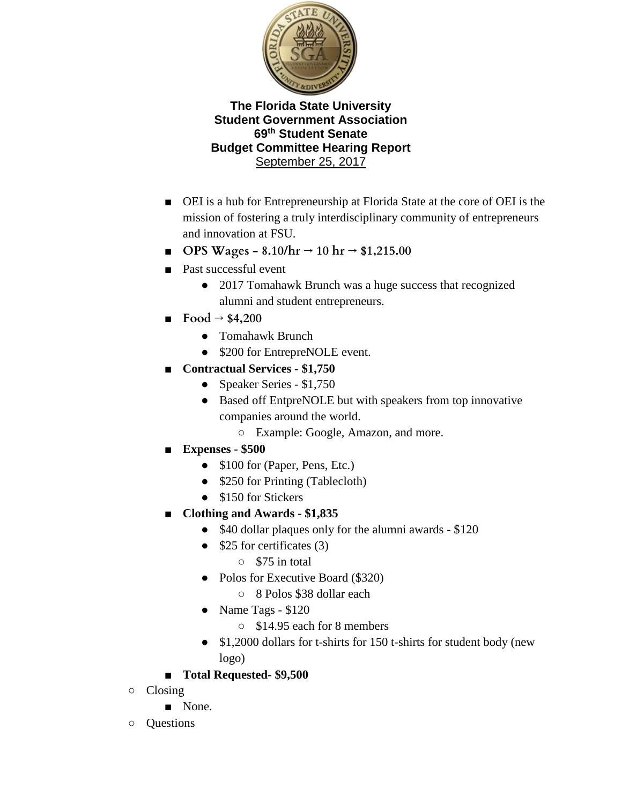

- OEI is a hub for Entrepreneurship at Florida State at the core of OEI is the mission of fostering a truly interdisciplinary community of entrepreneurs and innovation at FSU.
- **OPS Wages - 8.10/hr → 10 hr → \$1,215.00**
- Past successful event
	- 2017 Tomahawk Brunch was a huge success that recognized alumni and student entrepreneurs.
- $\blacksquare$  **Food**  $\rightarrow$  \$4,200
	- Tomahawk Brunch
	- \$200 for EntrepreNOLE event.
- **Contractual Services - \$1,750**
	- Speaker Series \$1,750
	- Based off EntpreNOLE but with speakers from top innovative companies around the world.

○ Example: Google, Amazon, and more.

- **Expenses - \$500**
	- \$100 for (Paper, Pens, Etc.)
	- \$250 for Printing (Tablecloth)
	- \$150 for Stickers
- **Clothing and Awards - \$1,835**
	- \$40 dollar plaques only for the alumni awards \$120
	- $\bullet$  \$25 for certificates (3)
		- \$75 in total
	- Polos for Executive Board (\$320)
		- 8 Polos \$38 dollar each
	- Name Tags \$120
		- \$14.95 each for 8 members
	- \$1,2000 dollars for t-shirts for 150 t-shirts for student body (new logo)
- **Total Requested- \$9,500**
- Closing
	- None.
- Questions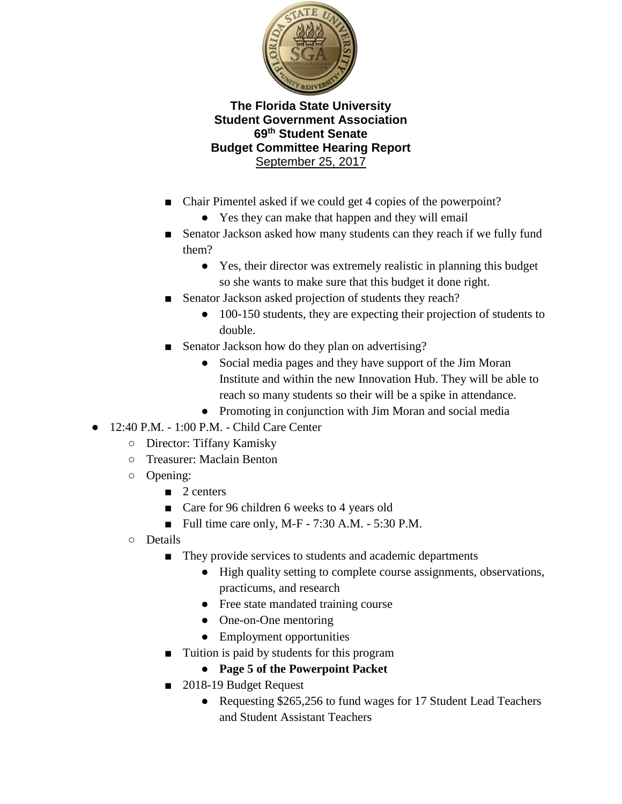

- Chair Pimentel asked if we could get 4 copies of the powerpoint?
	- Yes they can make that happen and they will email
- Senator Jackson asked how many students can they reach if we fully fund them?
	- Yes, their director was extremely realistic in planning this budget so she wants to make sure that this budget it done right.
- Senator Jackson asked projection of students they reach?
	- 100-150 students, they are expecting their projection of students to double.
- Senator Jackson how do they plan on advertising?
	- Social media pages and they have support of the Jim Moran Institute and within the new Innovation Hub. They will be able to reach so many students so their will be a spike in attendance.
	- Promoting in conjunction with Jim Moran and social media
- 12:40 P.M. 1:00 P.M. Child Care Center
	- Director: Tiffany Kamisky
	- Treasurer: Maclain Benton
	- Opening:
		- 2 centers
		- Care for 96 children 6 weeks to 4 years old
		- Full time care only, M-F  $7:30$  A.M.  $5:30$  P.M.
	- Details
		- They provide services to students and academic departments
			- High quality setting to complete course assignments, observations, practicums, and research
			- Free state mandated training course
			- One-on-One mentoring
			- Employment opportunities
		- Tuition is paid by students for this program
			- **Page 5 of the Powerpoint Packet**
		- 2018-19 Budget Request
			- Requesting \$265,256 to fund wages for 17 Student Lead Teachers and Student Assistant Teachers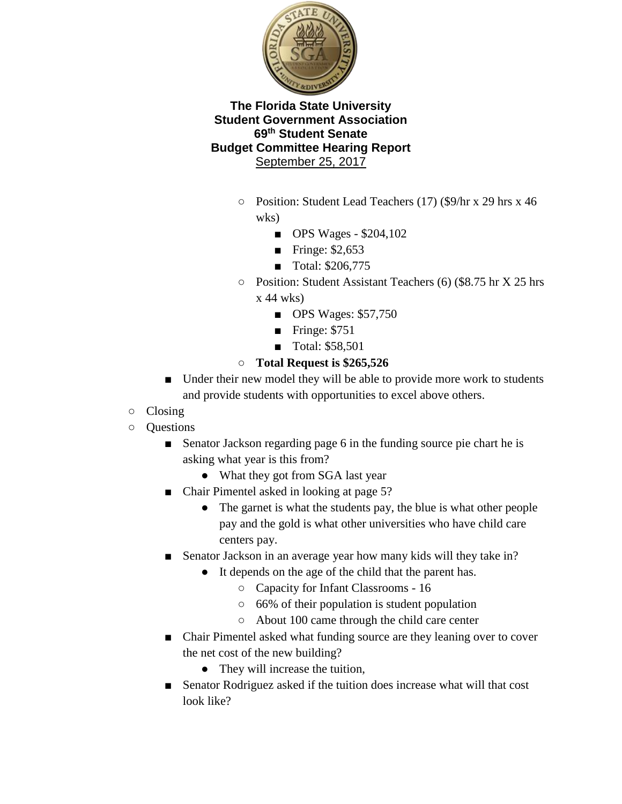

- Position: Student Lead Teachers (17) (\$9/hr x 29 hrs x 46 wks)
	- OPS Wages \$204,102
	- Fringe:  $$2,653$
	- Total: \$206,775
- Position: Student Assistant Teachers (6) (\$8.75 hr X 25 hrs  $x$  44 wks)
	- OPS Wages: \$57,750
	- Fringe: \$751
	- Total: \$58,501

# ○ **Total Request is \$265,526**

- Under their new model they will be able to provide more work to students and provide students with opportunities to excel above others.
- Closing
- Questions
	- Senator Jackson regarding page 6 in the funding source pie chart he is asking what year is this from?
		- What they got from SGA last year
	- Chair Pimentel asked in looking at page 5?
		- The garnet is what the students pay, the blue is what other people pay and the gold is what other universities who have child care centers pay.
	- Senator Jackson in an average year how many kids will they take in?
		- It depends on the age of the child that the parent has.
			- Capacity for Infant Classrooms 16
			- 66% of their population is student population
			- About 100 came through the child care center
	- Chair Pimentel asked what funding source are they leaning over to cover the net cost of the new building?
		- They will increase the tuition,
	- Senator Rodriguez asked if the tuition does increase what will that cost look like?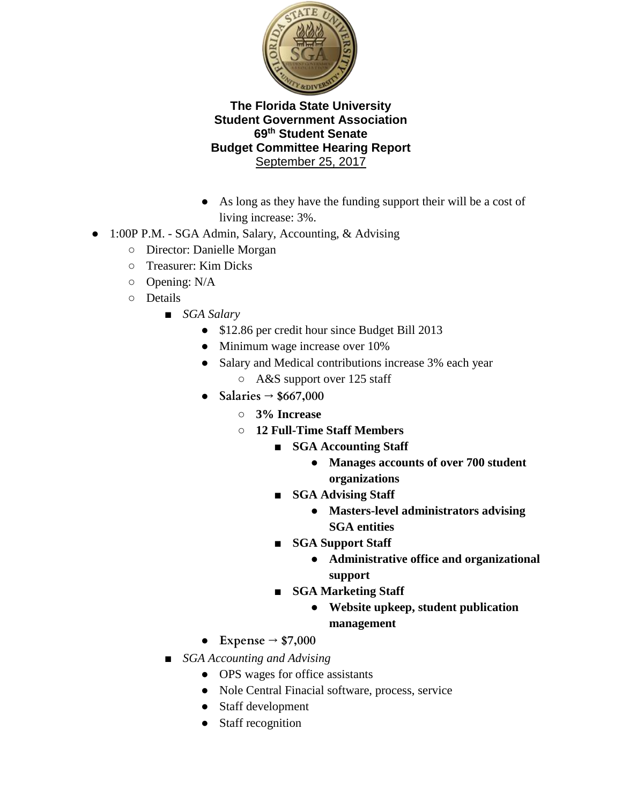

- As long as they have the funding support their will be a cost of living increase: 3%.
- 1:00P P.M. SGA Admin, Salary, Accounting, & Advising
	- Director: Danielle Morgan
	- Treasurer: Kim Dicks
	- Opening: N/A
	- Details
		- *SGA Salary* 
			- \$12.86 per credit hour since Budget Bill 2013
			- Minimum wage increase over 10%
			- Salary and Medical contributions increase 3% each year
				- A&S support over 125 staff
			- **Salaries → \$667,000**
				- **3% Increase**
				- **12 Full-Time Staff Members**
					- **SGA Accounting Staff** 
						- **Manages accounts of over 700 student organizations**
					- **SGA Advising Staff** 
						- **Masters-level administrators advising SGA entities**
					- **SGA Support Staff** 
						- **Administrative office and organizational support**
					- **SGA Marketing Staff** 
						- **Website upkeep, student publication management**
			- **Expense → \$7,000**
		- *SGA Accounting and Advising* 
			- OPS wages for office assistants
			- Nole Central Finacial software, process, service
			- Staff development
			- Staff recognition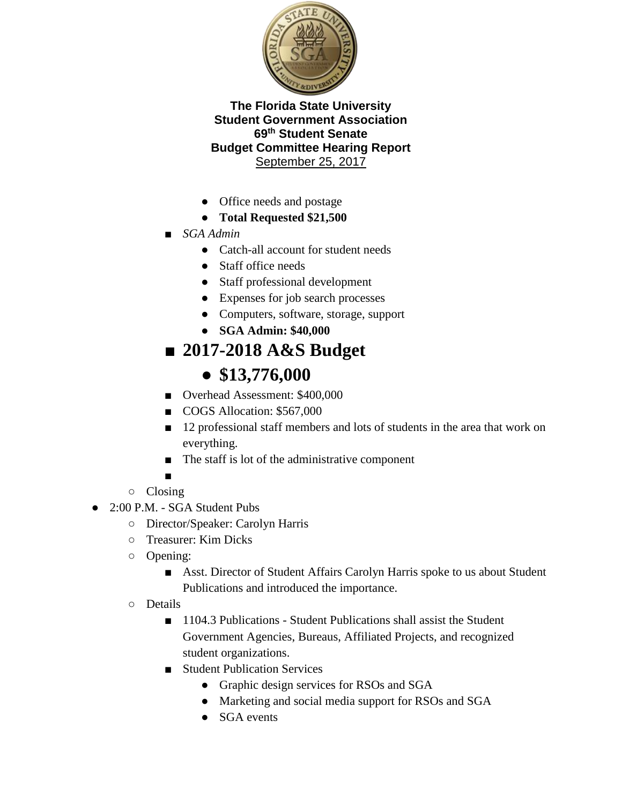

- Office needs and postage
- **Total Requested \$21,500**
- *SGA Admin*
	- Catch-all account for student needs
	- Staff office needs
	- Staff professional development
	- Expenses for job search processes
	- Computers, software, storage, support
	- **SGA Admin: \$40,000**

# ■ **2017-2018 A&S Budget**

# ● **\$13,776,000**

- Overhead Assessment: \$400,000
- COGS Allocation: \$567,000
- 12 professional staff members and lots of students in the area that work on everything.
- The staff is lot of the administrative component
- ■
- Closing
- 2:00 P.M. SGA Student Pubs
	- Director/Speaker: Carolyn Harris
	- Treasurer: Kim Dicks
	- Opening:
		- Asst. Director of Student Affairs Carolyn Harris spoke to us about Student Publications and introduced the importance.
	- Details
		- 1104.3 Publications Student Publications shall assist the Student Government Agencies, Bureaus, Affiliated Projects, and recognized student organizations.
		- Student Publication Services
			- Graphic design services for RSOs and SGA
			- Marketing and social media support for RSOs and SGA
			- SGA events